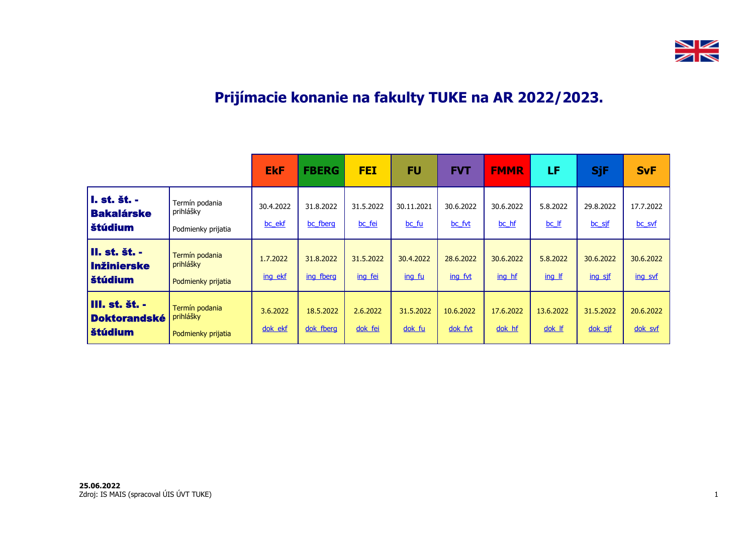

## **Prijímacie konanie na fakulty TUKE na AR 2022/2023.**

|                                                                |                                                   | <b>EkF</b>          | <b>FBERG</b>           | <b>FEI</b>           | <b>FU</b>           | <b>FVT</b>           | <b>FMMR</b>         | LF                  | <b>SjF</b>           | <b>SvF</b>           |
|----------------------------------------------------------------|---------------------------------------------------|---------------------|------------------------|----------------------|---------------------|----------------------|---------------------|---------------------|----------------------|----------------------|
| I. st. št. -<br><b>Bakalárske</b><br>štúdium                   | Termín podania<br>prihlášky<br>Podmienky prijatia | 30.4.2022<br>bc ekf | 31.8.2022<br>bc_fberg  | 31.5.2022<br>bc fei  | 30.11.2021<br>bc fu | 30.6.2022<br>bc fvt  | 30.6.2022<br>bc hf  | 5.8.2022<br>bc If   | 29.8.2022<br>bc_sjf  | 17.7.2022<br>bc_svf  |
| <b>II. st. št. -</b><br><b>Inžinierske</b><br><b>Štúdium</b>   | Termín podania<br>prihlášky<br>Podmienky prijatia | 1.7.2022<br>ing ekf | 31.8.2022<br>ing fberg | 31.5.2022<br>ing fei | 30.4.2022<br>ing fu | 28.6.2022<br>ing fyt | 30.6.2022<br>ing hf | 5.8.2022<br>ing If  | 30.6.2022<br>ing sjf | 30.6.2022<br>ing svf |
| <b>III. st. št. -</b><br><b>Doktorandské</b><br><b>Štúdium</b> | Termín podania<br>prihlášky<br>Podmienky prijatia | 3.6.2022<br>dok ekf | 18.5.2022<br>dok fberg | 2.6.2022<br>dok fei  | 31.5.2022<br>dok fu | 10.6.2022<br>dok fvt | 17.6.2022<br>dok hf | 13.6.2022<br>dok If | 31.5.2022<br>dok sjf | 20.6.2022<br>dok svf |